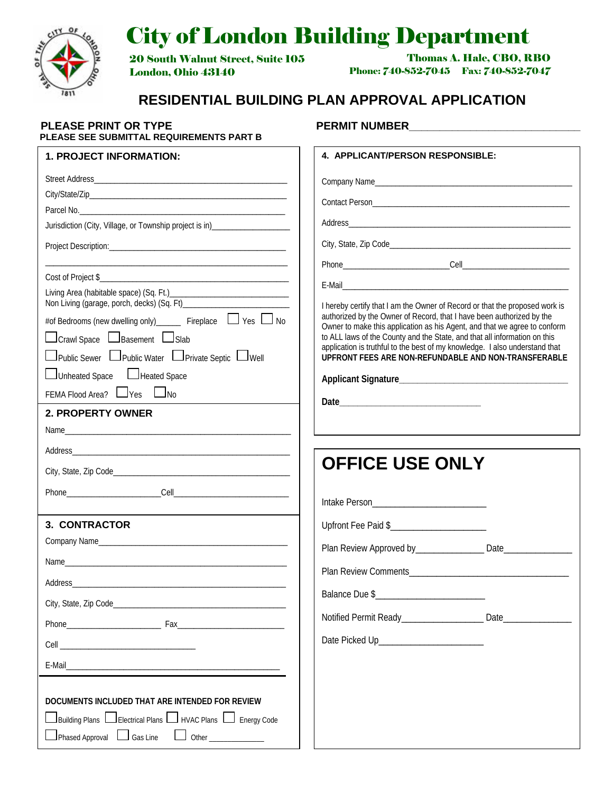

# City of London Building Department

20 South Walnut Street, Suite 105 London, Ohio 43140

 Thomas A. Hale, CBO, RBO Phone: 740-852-7045 Fax: 740-852-7047

# **RESIDENTIAL BUILDING PLAN APPROVAL APPLICATION**

 $\Gamma$ 

# **PLEASE PRINT OR TYPE PERMIT NUMBER\_\_\_\_\_\_\_\_\_**<br>PLEASE SEE SUBMITTAL REQUIREMENTS PART B Г

| <b>1. PROJECT INFORMATION:</b>                                        | 4. APPLICANT/PERSON RESPONSIBLE:                                                                                                                         |
|-----------------------------------------------------------------------|----------------------------------------------------------------------------------------------------------------------------------------------------------|
|                                                                       |                                                                                                                                                          |
|                                                                       |                                                                                                                                                          |
|                                                                       |                                                                                                                                                          |
|                                                                       |                                                                                                                                                          |
|                                                                       |                                                                                                                                                          |
|                                                                       |                                                                                                                                                          |
|                                                                       |                                                                                                                                                          |
|                                                                       | I hereby certify that I am the Owner of Record or that the proposed work is                                                                              |
| #of Bedrooms (new dwelling only)______ Fireplace $\Box$ Yes $\Box$ No | authorized by the Owner of Record, that I have been authorized by the<br>Owner to make this application as his Agent, and that we agree to conform       |
| $\Box$ Crawl Space $\Box$ Basement $\Box$ Slab                        | to ALL laws of the County and the State, and that all information on this<br>application is truthful to the best of my knowledge. I also understand that |
| □ Public Sewer □ Public Water □ Private Septic □ Well                 | UPFRONT FEES ARE NON-REFUNDABLE AND NON-TRANSFERABLE                                                                                                     |
| Unheated Space Lineated Space                                         |                                                                                                                                                          |
| FEMA Flood Area? Lyes Long                                            |                                                                                                                                                          |
| 2. PROPERTY OWNER                                                     |                                                                                                                                                          |
|                                                                       |                                                                                                                                                          |
|                                                                       |                                                                                                                                                          |
|                                                                       | <b>OFFICE USE ONLY</b>                                                                                                                                   |
|                                                                       |                                                                                                                                                          |
|                                                                       |                                                                                                                                                          |
| <b>3. CONTRACTOR</b>                                                  |                                                                                                                                                          |
|                                                                       | Plan Review Approved by__________________ Date________________                                                                                           |
|                                                                       |                                                                                                                                                          |
|                                                                       |                                                                                                                                                          |
| City, State, Zip Code______________                                   |                                                                                                                                                          |
|                                                                       | Notified Permit Ready___________________________ Date___________________________                                                                         |
|                                                                       | Date Picked Up_________________________                                                                                                                  |
|                                                                       |                                                                                                                                                          |
|                                                                       |                                                                                                                                                          |
| DOCUMENTS INCLUDED THAT ARE INTENDED FOR REVIEW                       |                                                                                                                                                          |
| Building Plans Lelectrical Plans Levico Plans Levic Energy Code       |                                                                                                                                                          |
| $\Box$ Phased Approval $\Box$ Gas Line                                |                                                                                                                                                          |
|                                                                       |                                                                                                                                                          |